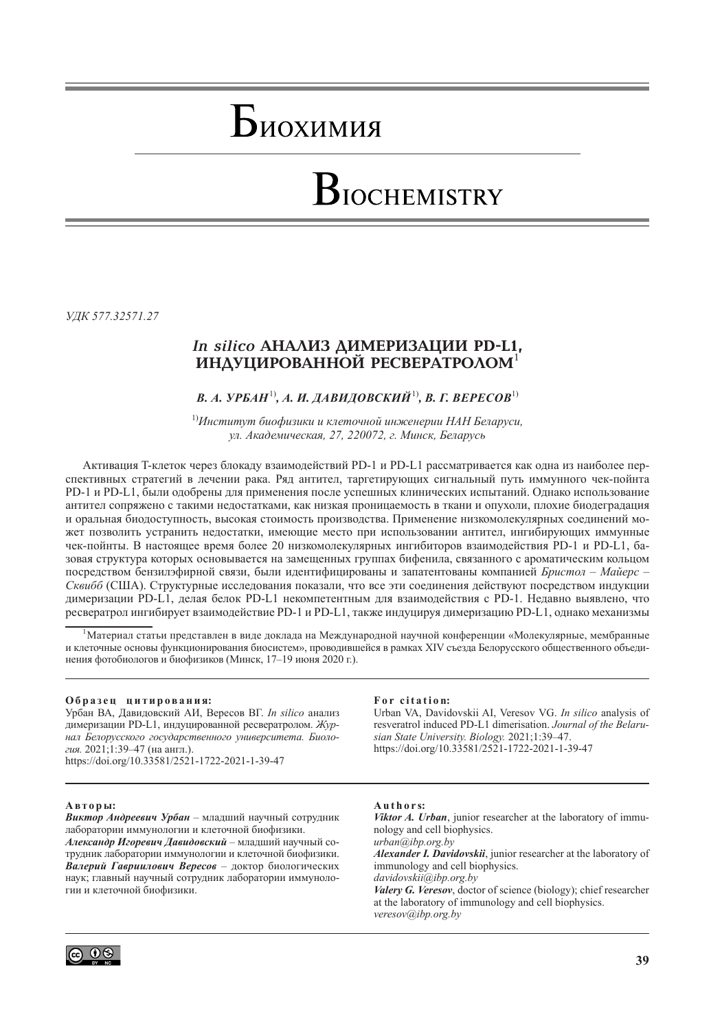## Биохимия

# BIOCHEMISTRY

*УДК 577.32571.27*

## *In silico* **АНАЛИЗ ДИМЕРИЗАЦИИ PD-L1, ИНДУЦИРОВАННОЙ РЕСВЕРАТРОЛОМ**<sup>1</sup>

## *В. А. УРБАН*1)*, А. И. ДАВИДОВСКИЙ*1)*, В. Г. ВЕРЕСОВ*1)

1)*Институт биофизики и клеточной инженерии НАН Беларуси, ул. Академическая, 27, 220072, г. Минск, Беларусь*

Активация T-клеток через блокаду взаимодействий PD-1 и PD-L1 рассматривается как одна из наиболее перспективных стратегий в лечении рака. Ряд антител, таргетирующих сигнальный путь иммунного чек-пойнта PD-1 и PD-L1, были одобрены для применения после успешных клинических испытаний. Однако использование антител сопряжено с такими недостатками, как низкая проницаемость в ткани и опухоли, плохие биодеградация и оральная биодоступность, высокая стоимость производства. Применение низкомолекулярных соединений может позволить устранить недостатки, имеющие место при использовании антител, ингибирующих иммунные чек-пойнты. В настоящее время более 20 низкомолекулярных ингибиторов взаимодействия PD-1 и PD-L1, базовая структура которых основывается на замещенных группах бифенила, связанного с ароматическим кольцом посредством бензилэфирной связи, были идентифицированы и запатентованы компанией *Бристол – Майерс – Сквибб* (США). Структурные исследования показали, что все эти соединения действуют посредством индукции димеризации PD-L1, делая белок PD-L1 некомпетентным для взаимодействия с PD-1. Недавно выявлено, что ресвератрол ингибирует взаимодействие PD-1 и PD-L1, также индуцируя димеризацию PD-L1, однако механизмы

<sup>1</sup>Материал статьи представлен в виде доклада на Международной научной конференции «Молекулярные, мембранные и клеточные основы функционирования биосистем», проводившейся в рамках XIV съезда Белорусского общественного объединения фотобиологов и биофизиков (Минск, 17–19 июня 2020 г.).

#### **О б р а з е ц ц и т и р о в а н и я:**

Урбан ВА, Давидовский АИ, Вересов ВГ. *In silico* анализ димеризации PD-L1, индуцированной ресвератролом. *Журнал Белорусского государственного университета. Биология.* 2021;1:39–47 (на англ.). https://doi.org/10.33581/2521-1722-2021-1-39-47

#### **А в т о р ы:**

*Виктор Андреевич Урбан* – младший научный сотрудник лаборатории иммунологии и клеточной биофизики. *Александр Игоревич Давидовский* – младший научный сотрудник лаборатории иммунологии и клеточной биофизики. *Валерий Гавриилович Вересов* – доктор биологических наук; главный научный сотрудник лаборатории иммунологии и клеточной биофизики.

#### For citation:

Urban VA, Davidovskii AI, Veresov VG. *In silico* analysis of resveratrol induced PD-L1 dimerisation. *Journal of the Belarusian State University. Biology.* 2021;1:39–47. https://doi.org/10.33581/2521-1722-2021-1-39-47

## **A u t h o r s:**

*Viktor A. Urban*, junior researcher at the laboratory of immunology and cell biophysics. *[urban@ibp.org.by](mailto:urban@ibp.org.by)*

*Alexander I. Davidovskii*, junior researcher at the laboratory of immunology and cell biophysics.

*[davidovskii@ibp.org.by](mailto:davidovskii@ibp.org.by)*

*Valery G. Veresov*, doctor of science (biology); chief researcher at the laboratory of immunology and cell biophysics. *[veresov@ibp.org.by](mailto:veresov@ibp.org.by)*

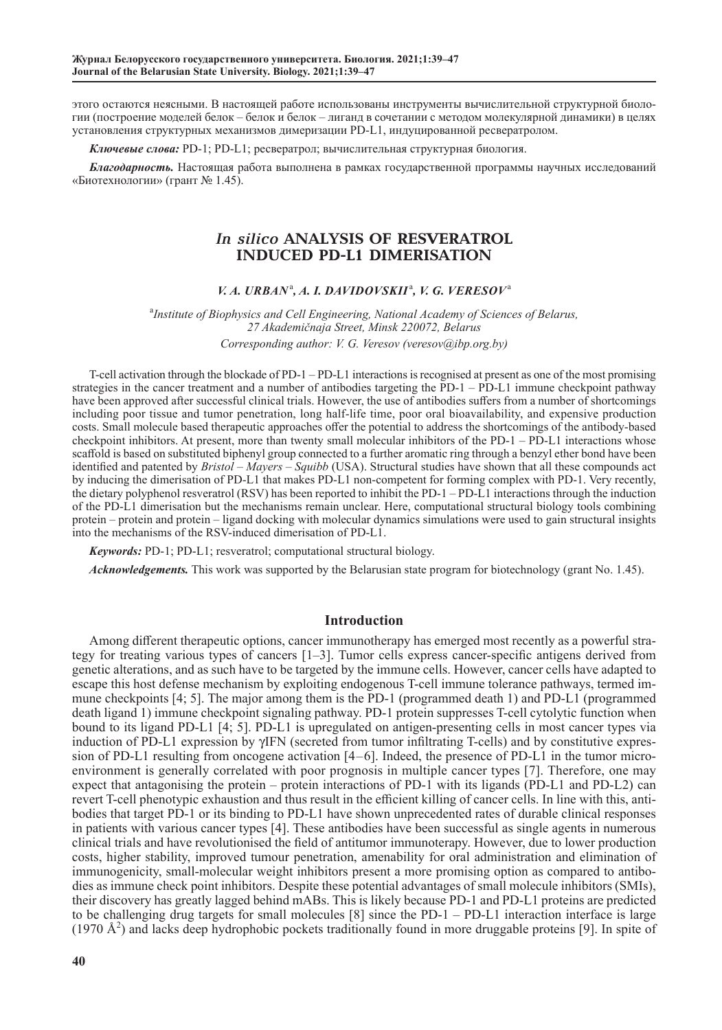этого остаются неясными. В настоящей работе использованы инструменты вычислительной структурной биологии (построение моделей белок – белок и белок – лиганд в сочетании с методом молекулярной динамики) в целях установления структурных механизмов димеризации PD-L1, индуцированной ресвератролом.

*Ключевые слова:* PD-1; PD-L1; ресвератрол; вычислительная структурная биология.

*Благодарность.* Настоящая работа выполнена в рамках государственной программы научных исследований «Биотехнологии» (грант № 1.45).

## *In silico* **ANALYSIS OF RESVERATROL INDUCED PD-L1 DIMERISATION**

## $V. A. URBAN<sup>a</sup>, A. I. DAVIDOVSKII<sup>a</sup>, V. G. VERESOV<sup>a</sup>$

<sup>a</sup>Institute of Biophysics and Cell Engineering, National Academy of Sciences of Belarus, *27 Akademičnaja Street, Minsk 220072, Belarus Corresponding author: V. G. Veresov (veresov@ibp.org.by)*

T-cell activation through the blockade of PD-1 – PD-L1 interactions is recognised at present as one of the most promising strategies in the cancer treatment and a number of antibodies targeting the PD-1 – PD-L1 immune checkpoint pathway have been approved after successful clinical trials. However, the use of antibodies suffers from a number of shortcomings including poor tissue and tumor penetration, long half-life time, poor oral bioavailability, and expensive production costs. Small molecule based therapeutic approaches offer the potential to address the shortcomings of the antibody-based checkpoint inhibitors. At present, more than twenty small molecular inhibitors of the PD-1 – PD-L1 interactions whose scaffold is based on substituted biphenyl group connected to a further aromatic ring through a benzyl ether bond have been identified and patented by *Bristol – Mayers – Squibb* (USA). Structural studies have shown that all these compounds act by inducing the dimerisation of PD-L1 that makes PD-L1 non-competent for forming complex with PD-1. Very recently, the dietary polyphenol resveratrol (RSV) has been reported to inhibit the PD-1 – PD-L1 interactions through the induction of the PD-L1 dimerisation but the mechanisms remain unclear. Here, computational structural biology tools combining protein – protein and protein – ligand docking with molecular dynamics simulations were used to gain structural insights into the mechanisms of the RSV-induced dimerisation of PD-L1.

*Keywords:* PD-1; PD-L1; resveratrol; computational structural biology.

*Acknowledgements.* This work was supported by [the Belarusian state program](http://www.google.com/url?sa=t&rct=j&q=&esrc=s&source=web&cd=1&cad=rja&ved=0CCgQFjAA&url=http%3A%2F%2Ffond.bas-net.by%2Fdefault_eng.html&ei=K_hUUtNYo7zRBcK3gEA&usg=AFQjCNFy6FgWem-x0tWYXnRbFdZdh5CtXQ&bvm=bv.53760139,d.Yms) for biotechnology (grant No. 1.45).

## **Introduction**

Among different therapeutic options, cancer immunotherapy has emerged most recently as a powerful strategy for treating various types of cancers [1–3]. Tumor cells express cancer-specific antigens derived from genetic alterations, and as such have to be targeted by the immune cells. However, cancer cells have adapted to escape this host defense mechanism by exploiting endogenous T-cell immune tolerance pathways, termed immune checkpoints [4; 5]. The major among them is the PD-1 (programmed death 1) and PD-L1 (programmed death ligand 1) immune checkpoint signaling pathway. PD-1 protein suppresses T-cell cytolytic function when bound to its ligand PD-L1 [4; 5]. PD-L1 is upregulated on antigen-presenting cells in most cancer types via induction of PD-L1 expression by γIFN (secreted from tumor infiltrating T-cells) and by constitutive expression of PD-L1 resulting from oncogene activation [4–6]. Indeed, the presence of PD-L1 in the tumor microenvironment is generally correlated with poor prognosis in multiple cancer types [7]. Therefore, one may expect that antagonising the protein – protein interactions of PD-1 with its ligands (PD-L1 and PD-L2) can revert T-cell phenotypic exhaustion and thus result in the efficient killing of cancer cells. In line with this, antibodies that target PD-1 or its binding to PD-L1 have shown unprecedented rates of durable clinical responses in patients with various cancer types [4]. These antibodies have been successful as single agents in numerous clinical trials and have revolutionised the field of antitumor immunoterapy. However, due to lower production costs, higher stability, improved tumour penetration, amenability for oral administration and elimination of immunogenicity, small-molecular weight inhibitors present a more promising option as compared to antibodies as immune check point inhibitors. Despite these potential advantages of small molecule inhibitors (SMIs), their discovery has greatly lagged behind mABs. This is likely because PD-1 and PD-L1 proteins are predicted to be challenging drug targets for small molecules [8] since the PD-1 – PD-L1 interaction interface is large (1970 Å<sup>2</sup>) and lacks deep hydrophobic pockets traditionally found in more druggable proteins [9]. In spite of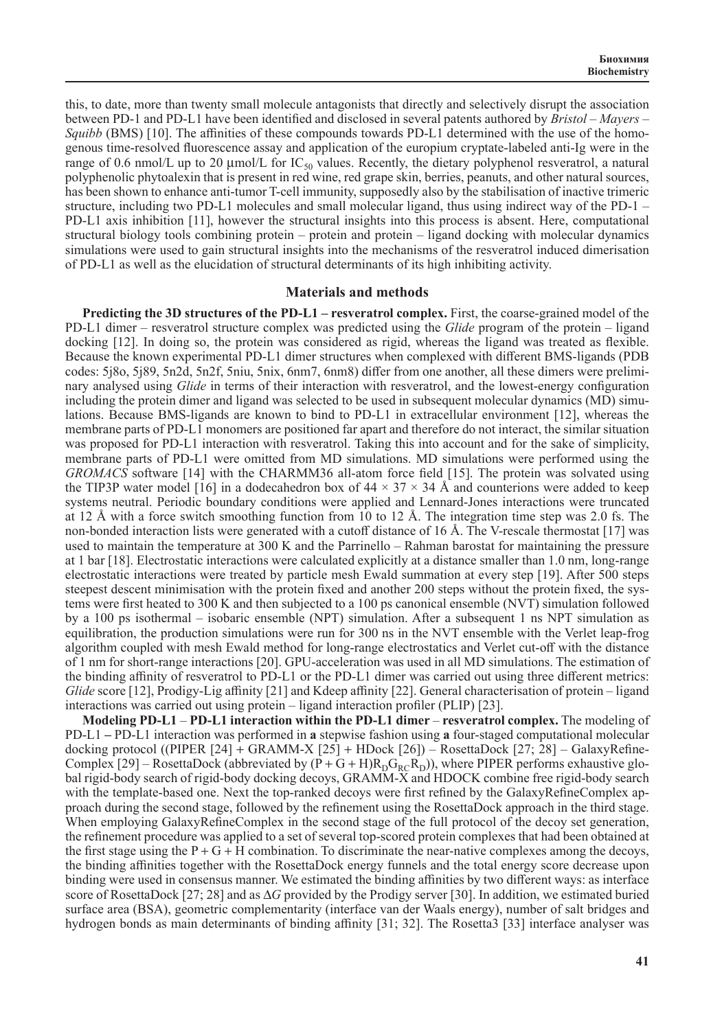this, to date, more than twenty small molecule antagonists that directly and selectively disrupt the association between PD-1 and PD-L1 have been identified and disclosed in several patents authored by *Bristol* – *Mayers* – *Squibb* (BMS) [10]. The affinities of these compounds towards PD-L1 determined with the use of the homogenous time-resolved fluorescence assay and application of the europium cryptate-labeled anti-Ig were in the range of 0.6 nmol/L up to 20  $\mu$ mol/L for IC<sub>50</sub> values. Recently, the dietary polyphenol resveratrol, a natural polyphenolic phytoalexin that is present in red wine, red grape skin, berries, peanuts, and other natural sources, has been shown to enhance anti-tumor T-cell immunity, supposedly also by the stabilisation of inactive trimeric structure, including two PD-L1 molecules and small molecular ligand, thus using indirect way of the PD-1 – PD-L1 axis inhibition [11], however the structural insights into this process is absent. Here, computational structural biology tools combining protein – protein and protein – ligand docking with molecular dynamics simulations were used to gain structural insights into the mechanisms of the resveratrol induced dimerisation of PD-L1 as well as the elucidation of structural determinants of its high inhibiting activity.

#### **Materials and methods**

**Predicting the 3D structures of the PD-L1 – resveratrol complex.** First, the coarse-grained model of the PD-L1 dimer – resveratrol structure complex was predicted using the *Glide* program of the protein – ligand docking [12]. In doing so, the protein was considered as rigid, whereas the ligand was treated as flexible. Because the known experimental PD-L1 dimer structures when complexed with different BMS-ligands (PDB codes: 5j8o, 5j89, 5n2d, 5n2f, 5niu, 5nix, 6nm7, 6nm8) differ from one another, all these dimers were preliminary analysed using *Glide* in terms of their interaction with resveratrol, and the lowest-energy configuration including the protein dimer and ligand was selected to be used in subsequent molecular dynamics (MD) simulations. Because BMS-ligands are known to bind to PD-L1 in extracellular environment [12], whereas the membrane parts of PD-L1 monomers are positioned far apart and therefore do not interact, the similar situation was proposed for PD-L1 interaction with resveratrol. Taking this into account and for the sake of simplicity, membrane parts of PD-L1 were omitted from MD simulations. MD simulations were performed using the *GROMACS* software [14] with the CHARMM36 all-atom force field [15]. The protein was solvated using the TIP3P water model [16] in a dodecahedron box of  $44 \times 37 \times 34$  Å and counterions were added to keep systems neutral. Periodic boundary conditions were applied and Lennard-Jones interactions were truncated at 12 Å with a force switch smoothing function from 10 to 12 Å. The integration time step was 2.0 fs. The non-bonded interaction lists were generated with a cutoff distance of 16 Å. The V-rescale thermostat [17] was used to maintain the temperature at 300 K and the Parrinello – Rahman barostat for maintaining the pressure at 1 bar [18]. Electrostatic interactions were calculated explicitly at a distance smaller than 1.0 nm, long-range electrostatic interactions were treated by particle mesh Ewald summation at every step [19]. After 500 steps steepest descent minimisation with the protein fixed and another 200 steps without the protein fixed, the systems were first heated to 300 K and then subjected to a 100 ps canonical ensemble (NVT) simulation followed by a 100 ps isothermal – isobaric ensemble (NPT) simulation. After a subsequent 1 ns NPT simulation as equilibration, the production simulations were run for 300 ns in the NVT ensemble with the Verlet leap-frog algorithm coupled with mesh Ewald method for long-range electrostatics and Verlet cut-off with the distance of 1 nm for short-range interactions [20]. GPU-acceleration was used in all MD simulations. The estimation of the binding affinity of resveratrol to PD-L1 or the PD-L1 dimer was carried out using three different metrics: *Glide* score [12], Prodigy-Lig affinity [21] and Kdeep affinity [22]. General characterisation of protein – ligand interactions was carried out using protein – ligand interaction profiler (PLIP) [23].

**Modeling PD-L1** – **PD-L1 interaction within the PD-L1 dimer** – **resveratrol complex.** The modeling of PD-L1 **–** PD-L1 interaction was performed in **a** stepwise fashion using **a** four-staged computational molecular docking protocol ((PIPER  $[24]$  + GRAMM-X  $[25]$  + HDock  $[26]$ ) – RosettaDock  $[27; 28]$  – GalaxyRefine-Complex [29] – RosettaDock (abbreviated by  $(P + G + H)R_pG_R(R_p)$ ), where PIPER performs exhaustive global rigid-body search of rigid-body docking decoys, GRAMM-X and HDOCK combine free rigid-body search with the template-based one. Next the top-ranked decoys were first refined by the GalaxyRefineComplex approach during the second stage, followed by the refinement using the RosettaDock approach in the third stage. When employing GalaxyRefineComplex in the second stage of the full protocol of the decoy set generation, the refinement procedure was applied to a set of several top-scored protein complexes that had been obtained at the first stage using the  $P + G + H$  combination. To discriminate the near-native complexes among the decoys, the binding affinities together with the RosettaDock energy funnels and the total energy score decrease upon binding were used in consensus manner. We estimated the binding affinities by two different ways: as interface score of RosettaDock [27; 28] and as ∆*G* provided by the Prodigy server [30]. In addition, we estimated buried surface area (BSA), geometric complementarity (interface van der Waals energy), number of salt bridges and hydrogen bonds as main determinants of binding affinity [31; 32]. The Rosetta3 [33] interface analyser was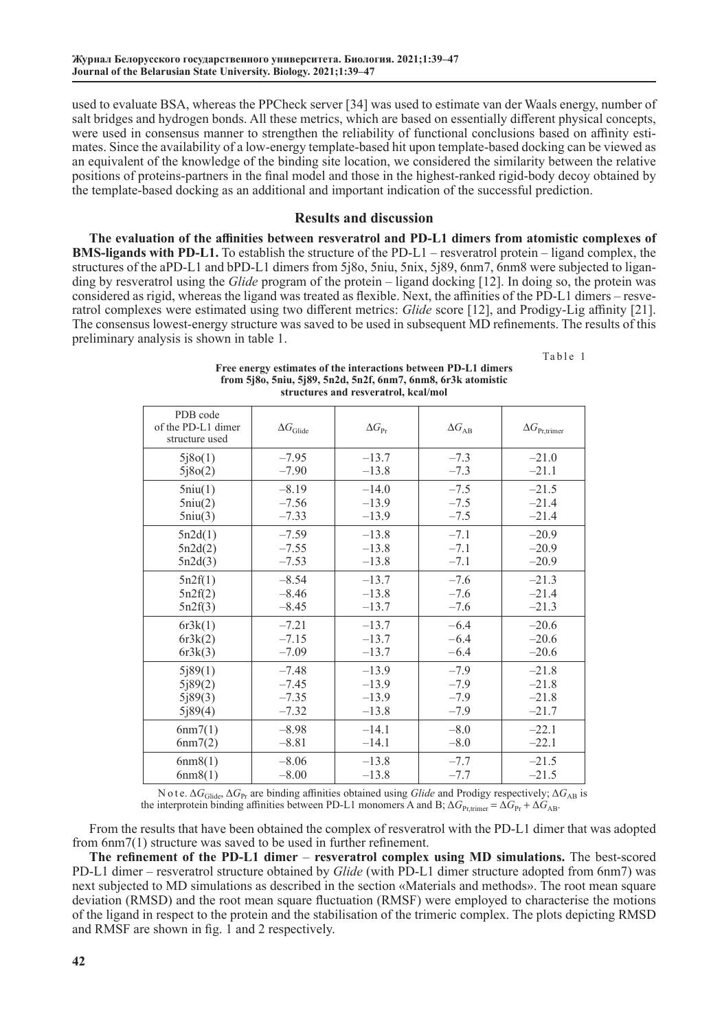used to evaluate BSA, whereas the PPCheck server [34] was used to estimate van der Waals energy, number of salt bridges and hydrogen bonds. All these metrics, which are based on essentially different physical concepts, were used in consensus manner to strengthen the reliability of functional conclusions based on affinity estimates. Since the availability of a low-energy template-based hit upon template-based docking can be viewed as an equivalent of the knowledge of the binding site location, we considered the similarity between the relative positions of proteins-partners in the final model and those in the highest-ranked rigid-body decoy obtained by the template-based docking as an additional and important indication of the successful prediction.

## **Results and discussion**

**The evaluation of the affinities between resveratrol and PD-L1 dimers from atomistic complexes of BMS-ligands with PD-L1.** To establish the structure of the PD-L1 – resveratrol protein – ligand complex, the structures of the aPD-L1 and bPD-L1 dimers from 5j8o, 5niu, 5nix, 5j89, 6nm7, 6nm8 were subjected to liganding by resveratrol using the *Glide* program of the protein – ligand docking [12]. In doing so, the protein was considered as rigid, whereas the ligand was treated as flexible. Next, the affinities of the PD-L1 dimers – resveratrol complexes were estimated using two different metrics: *Glide* score [12], and Prodigy-Lig affinity [21]. The consensus lowest-energy structure was saved to be used in subsequent MD refinements. The results of this preliminary analysis is shown in table 1.

Table 1

| Free energy estimates of the interactions between PD-L1 dimers  |
|-----------------------------------------------------------------|
| from $5i80, 5niu, 5i89, 5n2d, 5n2f, 6nm7, 6nm8, 6r3k atomistic$ |
| structures and resveratrol, kcal/mol                            |

| PDB code<br>of the PD-L1 dimer<br>structure used | $\Delta G_{\rm Glide}$                   | $\Delta G_{\text{Pr}}$                                                           | $\Delta G_{AB}$ | $\Delta G_{\rm Pr,trimer}$               |  |  |
|--------------------------------------------------|------------------------------------------|----------------------------------------------------------------------------------|-----------------|------------------------------------------|--|--|
| 5j8o(1)                                          | $-7.95$                                  | $-13.7$                                                                          | $-7.3$          | $-21.0$                                  |  |  |
| 5j8o(2)                                          | $-7.90$                                  | $-13.8$                                                                          | $-7.3$          | $-21.1$                                  |  |  |
| 5niu(1)                                          | $-8.19$                                  | $-14.0$                                                                          | $-7.5$          | $-21.5$                                  |  |  |
| 5niu(2)                                          | $-7.56$                                  | $-13.9$                                                                          | $-7.5$          | $-21.4$                                  |  |  |
| 5niu(3)                                          | $-7.33$                                  | $-13.9$                                                                          | $-7.5$          | $-21.4$                                  |  |  |
| 5n2d(1)                                          | $-7.59$                                  | $-13.8$                                                                          | $-20.9$         |                                          |  |  |
| 5n2d(2)                                          | $-7.55$                                  | $-13.8$                                                                          | $-20.9$         |                                          |  |  |
| 5n2d(3)                                          | $-7.53$                                  | $-13.8$                                                                          | $-20.9$         |                                          |  |  |
| 5n2f(1)<br>5n2f(2)<br>5n2f(3)                    | $-8.54$<br>$-8.46$<br>$-8.45$            | $-13.7$<br>$-7.6$<br>$-13.8$<br>$-7.6$<br>$-13.7$<br>$-7.6$                      |                 | $-21.3$<br>$-21.4$<br>$-21.3$            |  |  |
| 6r3k(1)                                          | $-7.21$                                  | $-13.7$                                                                          | $-6.4$          | $-20.6$                                  |  |  |
| 6r3k(2)                                          | $-7.15$                                  | $-13.7$                                                                          | $-6.4$          | $-20.6$                                  |  |  |
| 6r3k(3)                                          | $-7.09$                                  | $-13.7$                                                                          | $-6.4$          | $-20.6$                                  |  |  |
| 5j89(1)<br>5j89(2)<br>5j89(3)<br>5j89(4)         | $-7.48$<br>$-7.45$<br>$-7.35$<br>$-7.32$ | $-13.9$<br>$-7.9$<br>$-13.9$<br>$-7.9$<br>$-13.9$<br>$-7.9$<br>$-13.8$<br>$-7.9$ |                 | $-21.8$<br>$-21.8$<br>$-21.8$<br>$-21.7$ |  |  |
| 6nm7(1)                                          | $-8.98$                                  |                                                                                  | $-8.0$          | $-22.1$                                  |  |  |
| 6nm7(2)                                          | $-8.81$                                  |                                                                                  | $-8.0$          | $-22.1$                                  |  |  |
| 6nm8(1)                                          | $-8.06$                                  | $-13.8$                                                                          | $-7.7$          | $-21.5$                                  |  |  |
| 6nm8(1)                                          | $-8.00$                                  | $-13.8$                                                                          | $-7.7$          | $-21.5$                                  |  |  |

N o t e. Δ*G*Glide, Δ*G*Pr are binding affinities obtained using *Glide* and Prodigy respectively; Δ*G*AB is the interprotein binding affinities between PD-L1 monomers A and B;  $\Delta G_{\text{Pr,timer}} = \Delta G_{\text{Pr}} + \Delta G_{\text{AB}}$ .

From the results that have been obtained the complex of resveratrol with the PD-L1 dimer that was adopted from 6nm7(1) structure was saved to be used in further refinement.

**The refinement of the PD-L1 dimer** – **resveratrol complex using MD simulations.** The best-scored PD-L1 dimer – resveratrol structure obtained by *Glide* (with PD-L1 dimer structure adopted from 6nm7) was next subjected to MD simulations as described in the section «Materials and methods». The root mean square deviation (RMSD) and the root mean square fluctuation (RMSF) were employed to characterise the motions of the ligand in respect to the protein and the stabilisation of the trimeric complex. The plots depicting RMSD and RMSF are shown in fig. 1 and 2 respectively.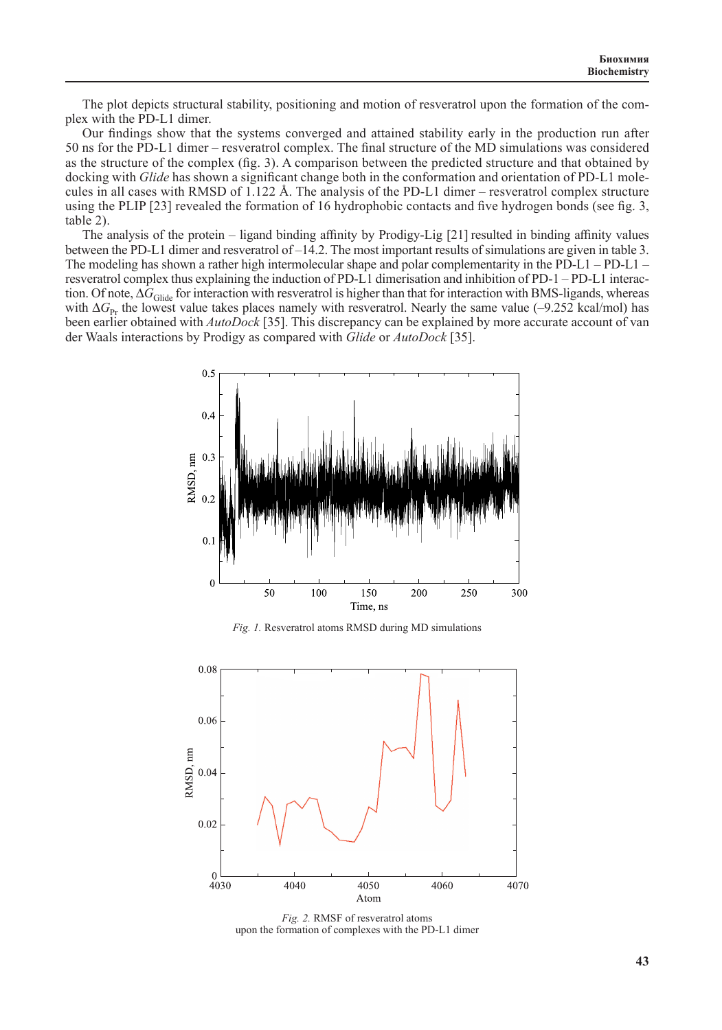The plot depicts structural stability, positioning and motion of resveratrol upon the formation of the complex with the PD-L1 dimer.

Our findings show that the systems converged and attained stability early in the production run after 50 ns for the PD-L1 dimer – resveratrol complex. The final structure of the MD simulations was considered as the structure of the complex (fig. 3). A comparison between the predicted structure and that obtained by docking with *Glide* has shown a significant change both in the conformation and orientation of PD-L1 molecules in all cases with RMSD of 1.122 Å. The analysis of the PD-L1 dimer – resveratrol complex structure using the PLIP [23] revealed the formation of 16 hydrophobic contacts and five hydrogen bonds (see fig. 3, table 2).

The analysis of the protein – ligand binding affinity by Prodigy-Lig [21] resulted in binding affinity values between the PD-L1 dimer and resveratrol of –14.2. The most important results of simulations are given in table 3. The modeling has shown a rather high intermolecular shape and polar complementarity in the PD-L1 – PD-L1 – resveratrol complex thus explaining the induction of PD-L1 dimerisation and inhibition of PD-1 – PD-L1 interaction. Of note, ∆*G*<sub>Glide</sub> for interaction with resveratrol is higher than that for interaction with BMS-ligands, whereas with ∆*G*<sub>Pr</sub> the lowest value takes places namely with resveratrol. Nearly the same value (–9.252 kcal/mol) has been earlier obtained with *AutoDock* [35]. This discrepancy can be explained by more accurate account of van der Waals interactions by Prodigy as compared with *Glide* or *AutoDock* [35].



*Fig. 1.* Resveratrol atoms RMSD during MD simulations



*Fig. 2.* RMSF of resveratrol atoms upon the formation of complexes with the PD-L1 dimer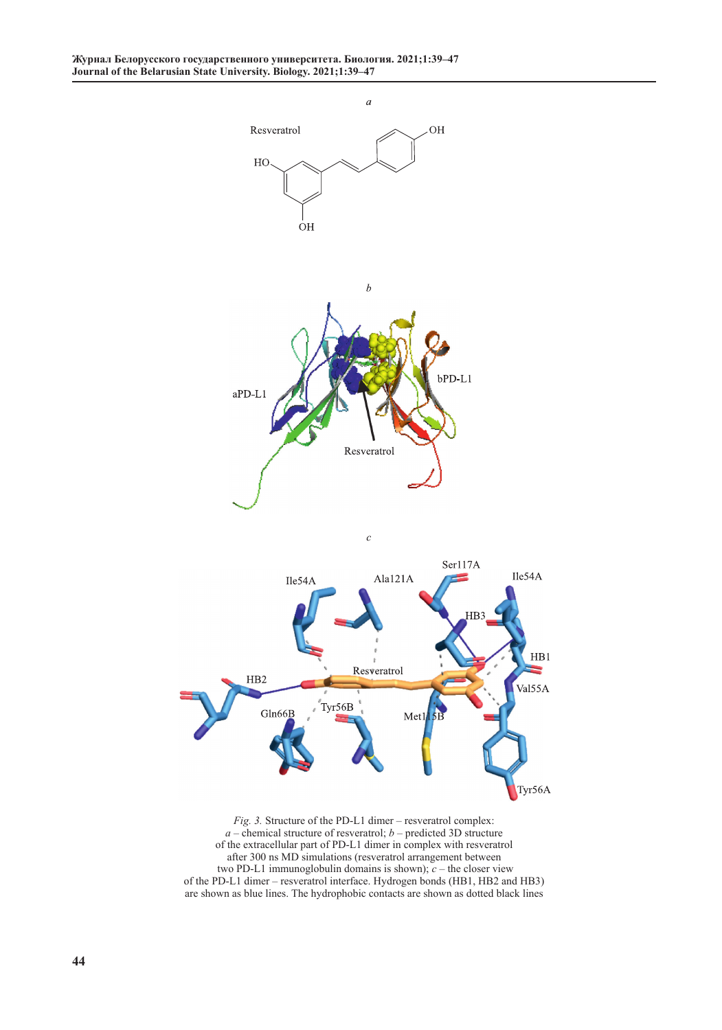

*Fig. 3.* Structure of the PD-L1 dimer – resveratrol complex: *a* – сhemical structure of resveratrol; *b* – predicted 3D structure of the extracellular part of PD-L1 dimer in complex with resveratrol after 300 ns MD simulations (resveratrol arrangement between two PD-L1 immunoglobulin domains is shown); *c* – the closer view of the PD-L1 dimer – resveratrol interface. Hydrogen bonds (HB1, HB2 and HB3) are shown as blue lines. The hydrophobic contacts are shown as dotted black lines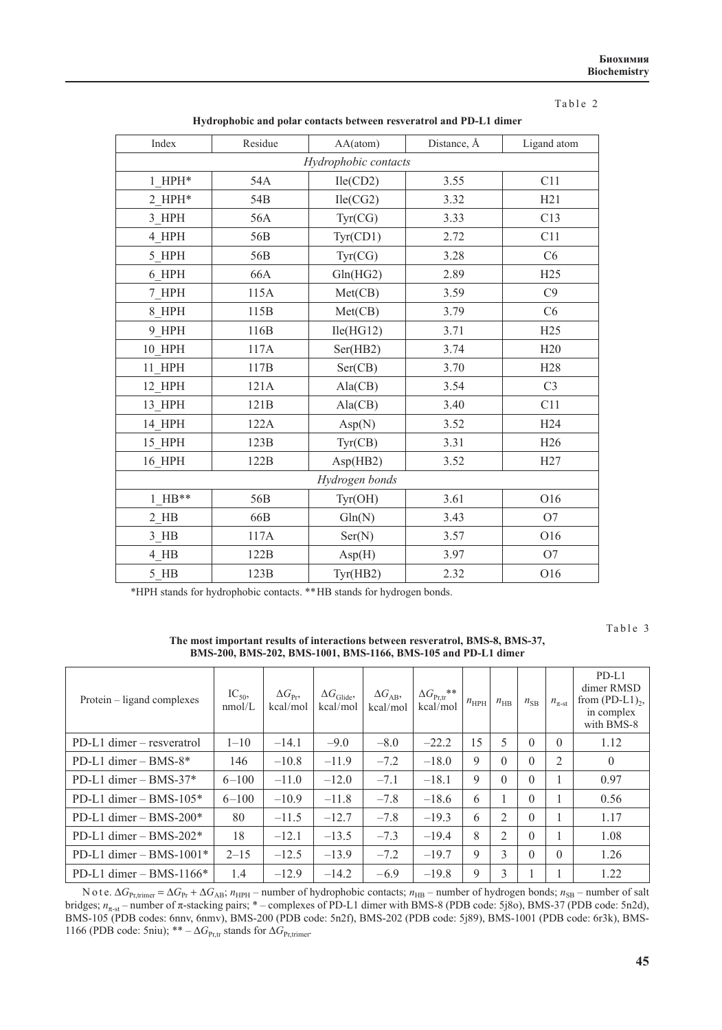|--|--|--|

| Index                | Residue         | AA(atom)  | Distance, Å | Ligand atom     |  |  |  |
|----------------------|-----------------|-----------|-------------|-----------------|--|--|--|
| Hydrophobic contacts |                 |           |             |                 |  |  |  |
| $1$ HPH*             | 54A             | Ile(CD2)  | 3.55        | C11             |  |  |  |
| $2$ HPH*             | 54 <sub>B</sub> | Ile(CG2)  | 3.32        |                 |  |  |  |
| 3 HPH                | 56A             | Tyr(CG)   | 3.33        | C13             |  |  |  |
| 4 HPH                | 56B             | Tyr(CD1)  | 2.72        | C11             |  |  |  |
| 5 HPH                | 56B             | Tyr(CG)   | 3.28        | C6              |  |  |  |
| 6 HPH                | 66A             | Gln(HG2)  | 2.89        | H25             |  |  |  |
| 7 HPH                | 115A            | Met(CB)   | 3.59        | C9              |  |  |  |
| 8 HPH                | 115B            | Met(CB)   | 3.79        | C6              |  |  |  |
| 9 HPH                | 116B            | Ile(HG12) | 3.71        | H25             |  |  |  |
| $10$ HPH             | 117A            | Ser(HB2)  | 3.74        | H20             |  |  |  |
| 11 HPH               | 117B            | Ser(CB)   | 3.70        | H <sub>28</sub> |  |  |  |
| 12 HPH               | 121A            | Ala(CB)   | 3.54        | C <sub>3</sub>  |  |  |  |
| 13 HPH               | 121B            | Ala(CB)   | 3.40        | C11             |  |  |  |
| 14 HPH               | 122A            | Asp(N)    | 3.52        | H <sub>24</sub> |  |  |  |
| 15 HPH               | 123B            | Tyr(CB)   | 3.31        | H <sub>26</sub> |  |  |  |
| 16 HPH               | 122B            | Asp(HB2)  | 3.52        | H27             |  |  |  |
| Hydrogen bonds       |                 |           |             |                 |  |  |  |
| $1$ HB**             | 56B             | Tyr(OH)   | 3.61        |                 |  |  |  |
| $2$ HB               | 66B             | Gln(N)    | 3.43        | O <sub>7</sub>  |  |  |  |
| $3$ HB               | 117A            | Ser(N)    | 3.57        | O16             |  |  |  |
| 4 HB                 | 122B            | Asp(H)    | 3.97        | O <sub>7</sub>  |  |  |  |
| $5$ HB               | 123B            | Tyr(HB2)  | 2.32        | O16             |  |  |  |

**Hydrophobic and polar contacts between resveratrol and PD-L1 dimer**

\*HPH stands for hydrophobic contacts. \*\* HB stands for hydrogen bonds.

Table 3

**The most important results of interactions between resveratrol, BMS-8, BMS-37, BMS-200, BMS-202, BMS-1001, BMS-1166, BMS-105 and PD-L1 dimer**

| Protein – ligand complexes  | $IC_{50}$<br>nmol/L | $\Delta G_{\rm p_r}$<br>kcal/mol | $\Delta G_{\text{Glide}}$<br>kcal/mol | $\Delta G_{AB}$<br>kcal/mol | $\Delta G_{\rm Pr,tr}$ **<br>kcal/mol | $n_{HPH}$ | $n_{\rm HB}$   | $n_{\rm SB}$ | $n_{\pi\text{-st}}$ | $PD-L1$<br>dimer RMSD<br>from $(PD-L1)_{2}$ ,<br>in complex<br>with BMS-8 |
|-----------------------------|---------------------|----------------------------------|---------------------------------------|-----------------------------|---------------------------------------|-----------|----------------|--------------|---------------------|---------------------------------------------------------------------------|
| $PD-L1$ dimer – resveratrol | $1 - 10$            | $-14.1$                          | $-9.0$                                | $-8.0$                      | $-22.2$                               | 15        | 5              | $\Omega$     | $\theta$            | 1.12                                                                      |
| PD-L1 dimer $-$ BMS- $8*$   | 146                 | $-10.8$                          | $-11.9$                               | $-7.2$                      | $-18.0$                               | 9         | $\Omega$       | $\Omega$     | 2                   | $\overline{0}$                                                            |
| PD-L1 dimer $-$ BMS-37 $*$  | $6 - 100$           | $-11.0$                          | $-12.0$                               | $-7.1$                      | $-18.1$                               | 9         | $\Omega$       | $\Omega$     |                     | 0.97                                                                      |
| PD-L1 dimer $-$ BMS-105 $*$ | $6 - 100$           | $-10.9$                          | $-11.8$                               | $-7.8$                      | $-18.6$                               | 6         |                | $\Omega$     |                     | 0.56                                                                      |
| PD-L1 dimer $-$ BMS-200 $*$ | 80                  | $-11.5$                          | $-12.7$                               | $-7.8$                      | $-19.3$                               | 6         | 2              | $\Omega$     |                     | 1.17                                                                      |
| PD-L1 dimer $-$ BMS-202 $*$ | 18                  | $-12.1$                          | $-13.5$                               | $-7.3$                      | $-19.4$                               | 8         | $\overline{2}$ | $\Omega$     |                     | 1.08                                                                      |
| PD-L1 dimer $-$ BMS-1001*   | $2 - 15$            | $-12.5$                          | $-13.9$                               | $-7.2$                      | $-19.7$                               | 9         | 3              | $\Omega$     | $\Omega$            | 1.26                                                                      |
| PD-L1 dimer $-$ BMS-1166*   | 1.4                 | $-12.9$                          | $-14.2$                               | $-6.9$                      | $-19.8$                               | 9         | 3              |              |                     | 1.22                                                                      |

N o t e. ∆*G*Pr,trimer = ∆*G*Pr + ∆*G*AB; *n*HPH – number of hydrophobic contacts; *n*HB – number of hydrogen bonds; *n*SB – number of salt bridges; *n*<sup>π</sup>-st – number of π-stacking pairs; \* – complexes of PD-L1 dimer with BMS-8 (PDB code: 5j8o), BMS-37 (PDB code: 5n2d), BMS-105 (PDB codes: 6nnv, 6nmv), BMS-200 (PDB code: 5n2f), BMS-202 (PDB code: 5j89), BMS-1001 (PDB code: 6r3k), BMS-1166 (PDB code: 5niu); \*\* –  $\Delta G_{\text{Pr,tr}}$  stands for  $\Delta G_{\text{Pr,trimer}}$ .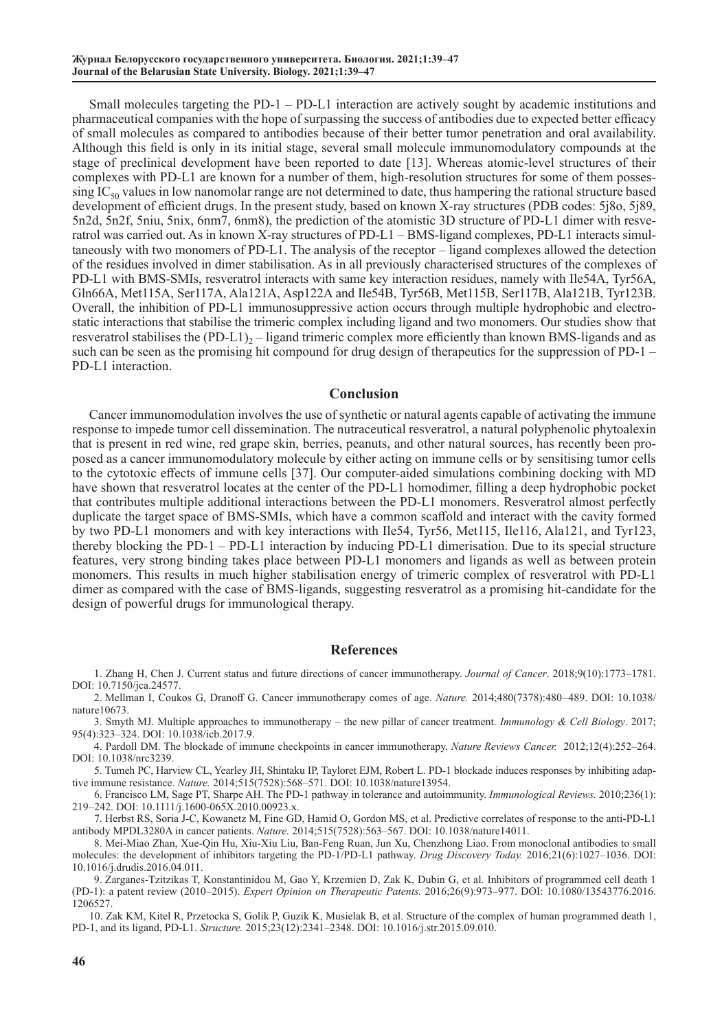Small molecules targeting the PD-1 – PD-L1 interaction are actively sought by academic institutions and pharmaceutical companies with the hope of surpassing the success of antibodies due to expected better efficacy of small molecules as compared to antibodies because of their better tumor penetration and oral availability. Although this field is only in its initial stage, several small molecule immunomodulatory compounds at the stage of preclinical development have been reported to date [13]. Whereas atomic-level structures of their complexes with PD-L1 are known for a number of them, high-resolution structures for some of them posses- $\sin g$  IC<sub>50</sub> values in low nanomolar range are not determined to date, thus hampering the rational structure based development of efficient drugs. In the present study, based on known X-ray structures (PDB codes: 5j8o, 5j89, 5n2d, 5n2f, 5niu, 5nix, 6nm7, 6nm8), the prediction of the atomistic 3D structure of PD-L1 dimer with resveratrol was carried out. As in known X-ray structures of PD-L1 – BMS-ligand complexes, PD-L1 interacts simultaneously with two monomers of PD-L1. The analysis of the receptor – ligand complexes allowed the detection of the residues involved in dimer stabilisation. As in all previously characterised structures of the complexes of PD-L1 with BMS-SMIs, resveratrol interacts with same key interaction residues, namely with Ile54A, Tyr56A, Gln66A, Met115A, Ser117A, Ala121A, Asp122A and Ile54B, Tyr56B, Met115B, Ser117B, Ala121B, Tyr123B. Overall, the inhibition of PD-L1 immunosuppressive action occurs through multiple hydrophobic and electrostatic interactions that stabilise the trimeric complex including ligand and two monomers. Our studies show that resveratrol stabilises the  $(PD-L1)_{2}$  – ligand trimeric complex more efficiently than known BMS-ligands and as such can be seen as the promising hit compound for drug design of therapeutics for the suppression of PD-1 – PD-L1 interaction.

#### **Conclusion**

Cancer immunomodulation involves the use of synthetic or natural agents capable of activating the immune response to impede tumor cell dissemination. The nutraceutical resveratrol, a natural polyphenolic phytoalexin that is present in red wine, red grape skin, berries, peanuts, and other natural sources, has recently been proposed as a cancer immunomodulatory molecule by either acting on immune cells or by sensitising tumor cells to the cytotoxic effects of immune cells [37]. Our computer-aided simulations combining docking with MD have shown that resveratrol locates at the center of the PD-L1 homodimer, filling a deep hydrophobic pocket that contributes multiple additional interactions between the PD-L1 monomers. Resveratrol almost perfectly duplicate the target space of BMS-SMIs, which have a common scaffold and interact with the cavity formed by two PD-L1 monomers and with key interactions with Ile54, Tyr56, Met115, Ile116, Ala121, and Tyr123, thereby blocking the PD-1 – PD-L1 interaction by inducing PD-L1 dimerisation. Due to its special structure features, very strong binding takes place between PD-L1 monomers and ligands as well as between protein monomers. This results in much higher stabilisation energy of trimeric complex of resveratrol with PD-L1 dimer as compared with the case of BMS-ligands, suggesting resveratrol as a promising hit-candidate for the design of powerful drugs for immunological therapy.

#### **References**

1. Zhang H, Chen J. Current status and future directions of cancer immunotherapy. *Journal of Cancer*. 2018;9(10):1773–1781. DOI: [10.7150/jca.24577](file:///\\Urir-taraik\bестник\БИОЛОГИЯ\2021\№1_февраль\Вересов\Правка\doi.org\10.7150\jca.24577).

2. Mellman I, Coukos G, Dranoff G. Cancer immunotherapy comes of age. *Nature.* 2014;480(7378):480–489. DOI: 10.1038/ nature10673.

3. Smyth MJ. Multiple approaches to immunotherapy – the new pillar of cancer treatment. *Immunology & Cell Biology*. 2017; 95(4):323–324. DOI: [10.1038/icb.2017.9](https://doi.org/10.1038/icb.2017.9).

4. Pardoll DM. The blockade of immune checkpoints in cancer immunotherapy. *Nature Reviews Cancer.* 2012;12(4):252–264. DOI: 10.1038/nrc3239.

5. Tumeh PC, Harview CL, Yearley JH, Shintaku IP, Tayloret EJM, Robert L. PD-1 blockade induces responses by inhibiting adaptive immune resistance. *Nature.* 2014;515(7528):568–571. DOI: 10.1038/nature13954.

6. Francisco LM, Sage PT, Sharpe AH. The PD-1 pathway in tolerance and autoimmunity. *Immunological Reviews.* 2010;236(1): 219–242. DOI: 10.1111/j.1600-065X.2010.00923.x.

7. Herbst RS, Soria J-C, Kowanetz M, Fine GD, Hamid O, Gordon MS, et al. Predictive correlates of response to the anti-PD-L1 antibody MPDL3280A in cancer patients. *Nature.* 2014;515(7528):563–567. DOI: 10.1038/nature14011.

8. Mei-Miao Zhan, Xue-Qin Hu, Xiu-Xiu Liu, Ban-Feng Ruan, Jun Xu, Chenzhong Liao. From monoclonal antibodies to small molecules: the development of inhibitors targeting the PD-1/PD-L1 pathway. *Drug Discovery Today.* 2016;21(6):1027–1036. DOI: 10.1016/j.drudis.2016.04.011.

9. Zarganes-Tzitzikas T, Konstantinidou M, Gao Y, Krzemien D, Zak K, Dubin G, et al. Inhibitors of programmed cell death 1 (PD-1): a patent review (2010–2015). *Expert Opinion on Therapeutic Patents.* 2016;26(9):973–977. DOI: 10.1080/13543776.2016. 1206527.

10. Zak KM, Kitel R, Przetocka S, Golik P, Guzik K, Musielak B, et al. Structure of the complex of human programmed death 1, PD-1, and its ligand, PD-L1. *Structure.* 2015;23(12):2341–2348. DOI: 10.1016/j.str.2015.09.010.